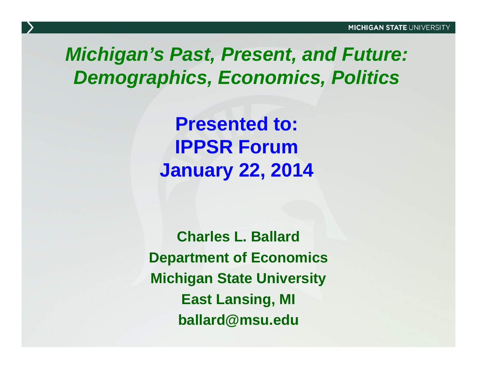#### *Michigan's Past, Present, and Future: Demographics, Economics, Politics*

**Presented to: IPPSR ForumJanuary 22, 2014**

**Charles L. BallardDepartment of Economics Michigan State University East Lansing MI Lansing, ballard@msu.edu**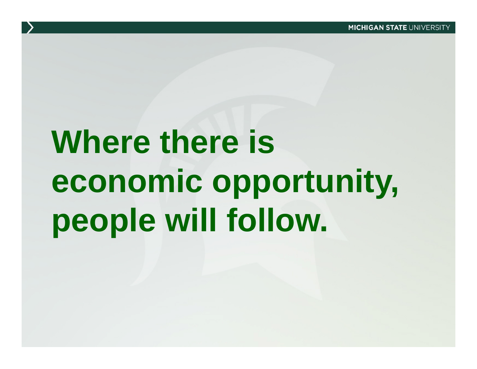# **Where there is economic opportunity, people will follow.**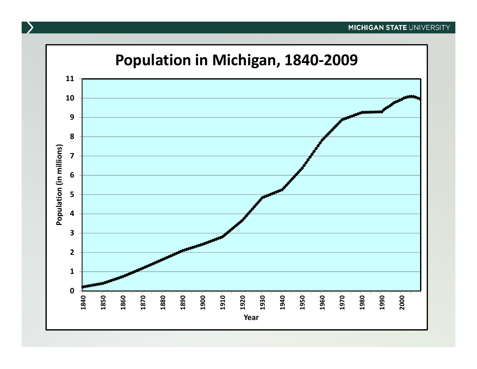#### **MICHIGAN STATE UNIVERSITY**

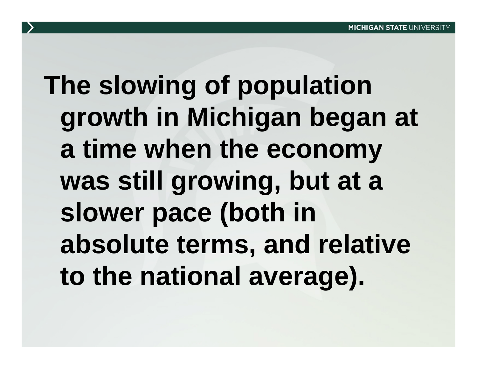# **The slowing of population growth in Michigan began at Michigan a time when the econom y was still growing, but at a**  slower pace (both in **absolute terms , and relative to the national average).**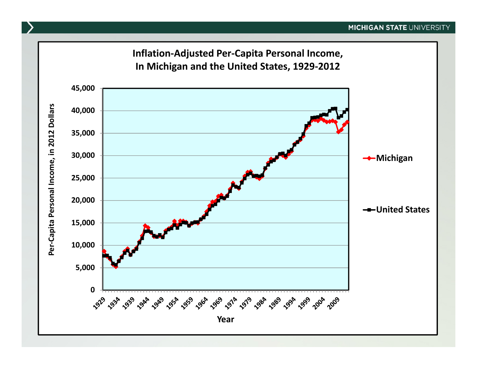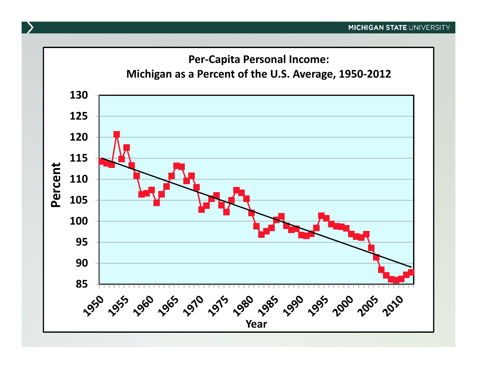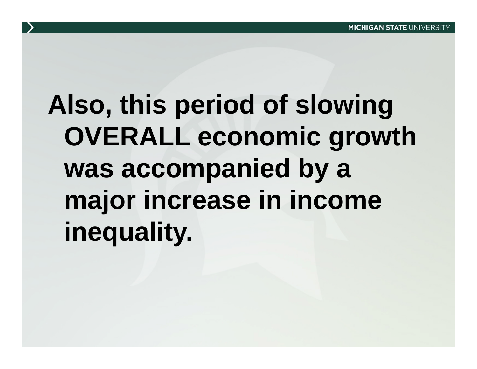# Also, this period of slowing **OVERALL economic growth**  was accompanied by a **major increase in income in inequality.**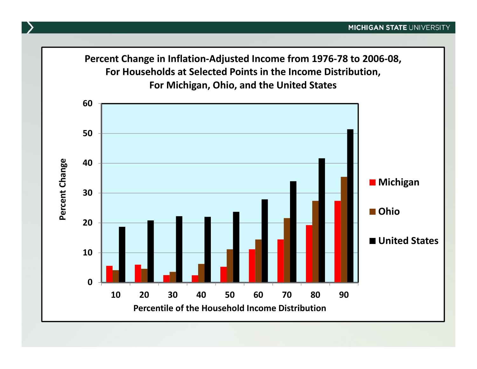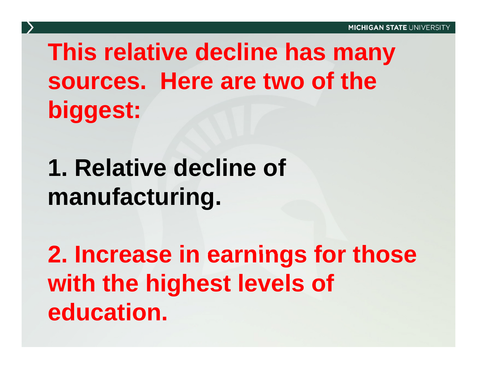### **This relative decline has many sources. Here are two of the biggest:**

#### **1 R l ti d li f 1. eative decline omanufacturin g .**

**2 Increase in earnings for those 2. with the highest levels of education.**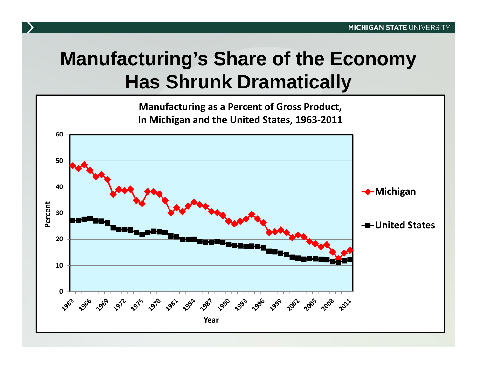#### **Manufacturing's Share of the Economy Has Shrunk Dramatically**

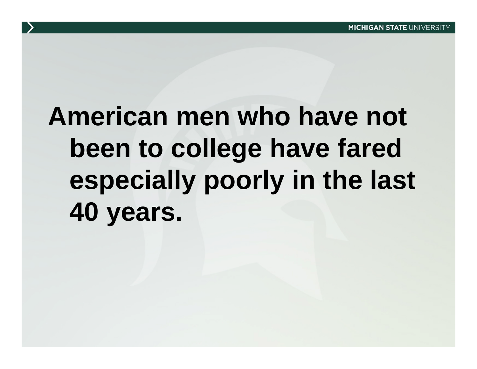# **American men who have not** been to college have fared **especially poorly in the last 40 years**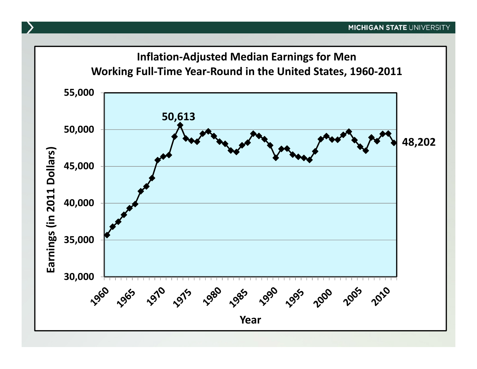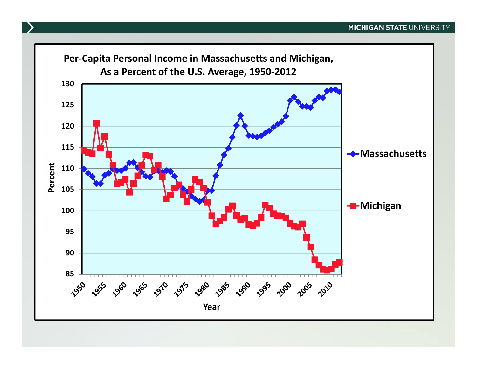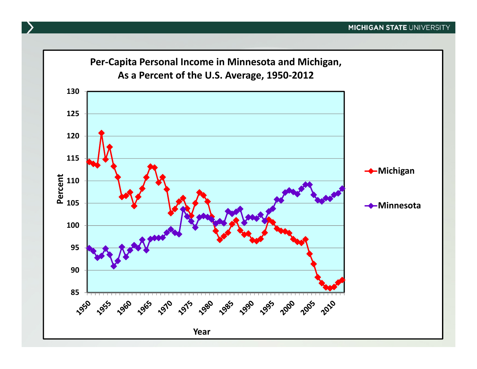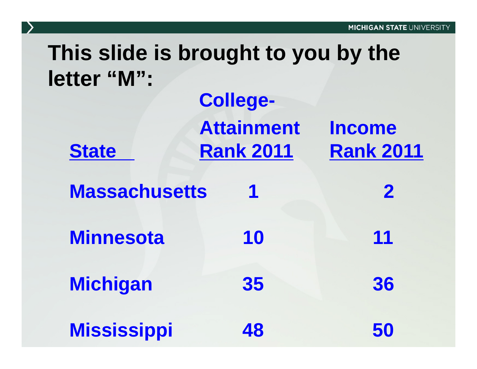#### **This slide is brought to you by the letter "M":**

|                      | <b>College-</b>                       |                                   |
|----------------------|---------------------------------------|-----------------------------------|
| <b>State</b>         | <b>Attainment</b><br><b>Rank 2011</b> | <b>Income</b><br><b>Rank 2011</b> |
| <b>Massachusetts</b> | 1                                     | $\mathbf 2$                       |
| <b>Minnesota</b>     | 10                                    | 11                                |
| <b>Michigan</b>      | 35                                    | 36                                |
| <b>Mississippi</b>   | 48                                    | 50                                |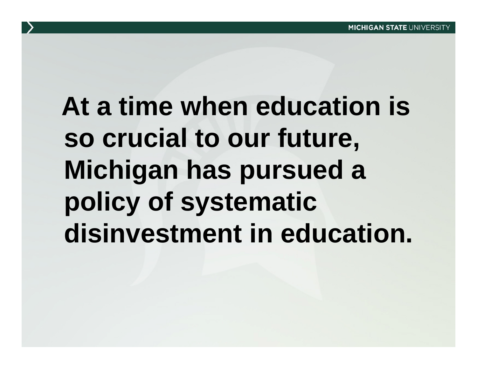# **At a time when education is so crucial to our future, Mi hi h d chigan has pursue d a policy of systematic systematic disinvestment in education.**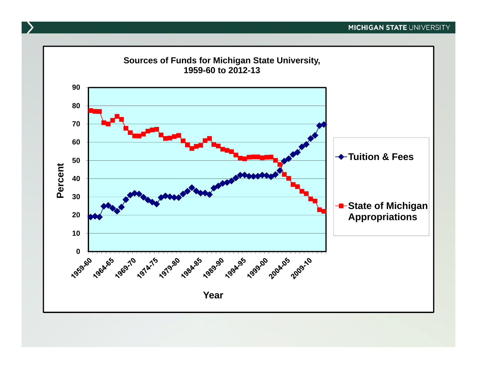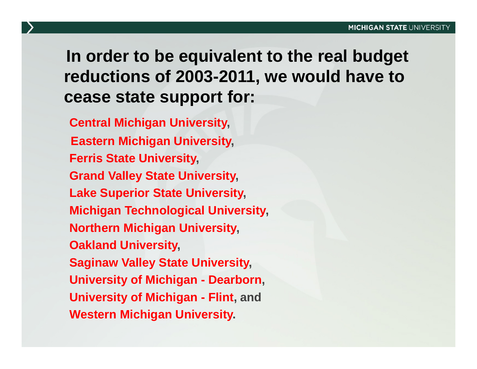**In order to be equivalent to the real budget reductions of 2003-2011, we would have to cease state support for:** 

**Central Michigan University, Eastern Michigan University, Ferris State University, Grand Valley State University, Lake Superior State University, Mi hi T h l i l U i it chigan Tec hnological niversity, Northern Michigan University, Oakland University, Saginaw Valley State University, University of Michigan - Dearborn, University of Michigan - Flint, and Western Michigan University.**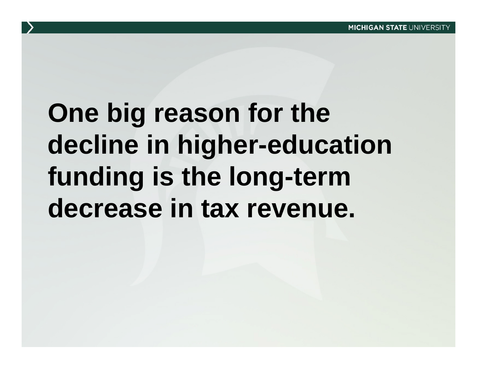## **One big reason for the decline in higher-education funding is the long-term decrease in tax revenue .**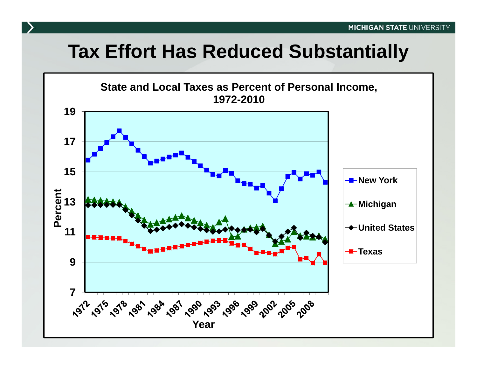#### **Tax Effort Has Reduced Substantially**

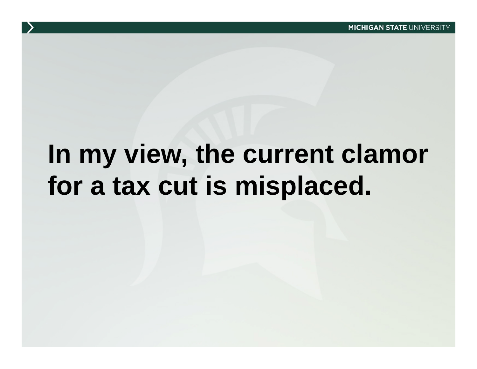### **In my view, the current clamor current for a tax cut is misplaced.**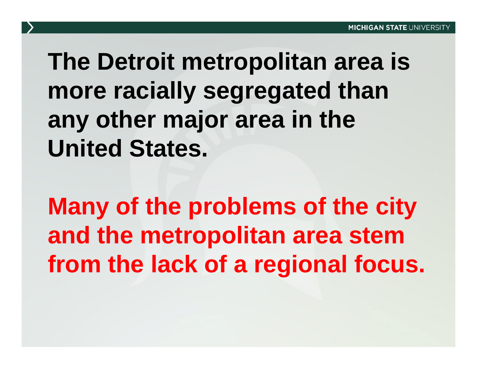### **The Detroit metropolitan area is more racially segregated than any oth j i th ther ma jor area in the United States.**

**Many of the problems of the city and the metropolitan area stem from the lack of a regional focus.**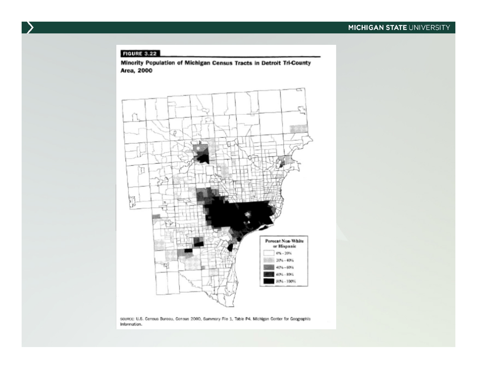#### **FIGURE 3.22**

Minority Population of Michigan Census Tracts in Detroit Tri-County Area, 2000



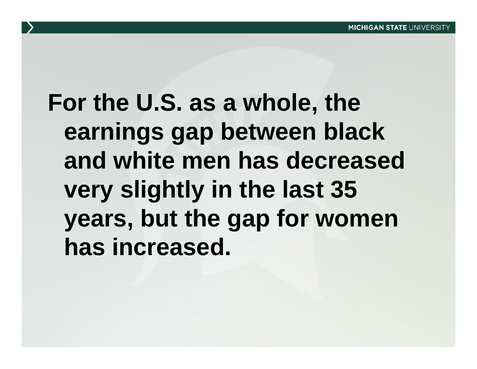### **For the U.S. as a whole , the earnings gap between black and white men has decreased has very slightly in the last 35 years, but the gap for women has increased. increased.**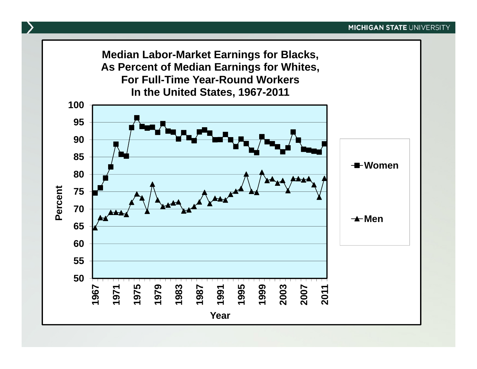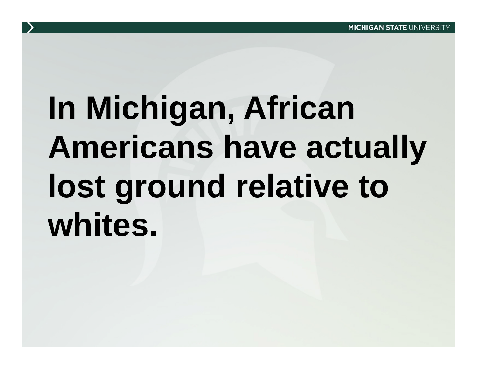### **In Michigan African Michigan, Americans have actuall y lost ground relative to whites.**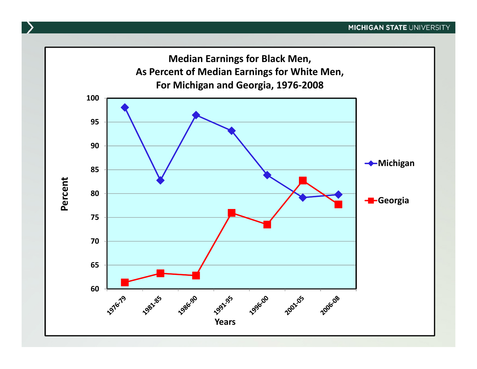